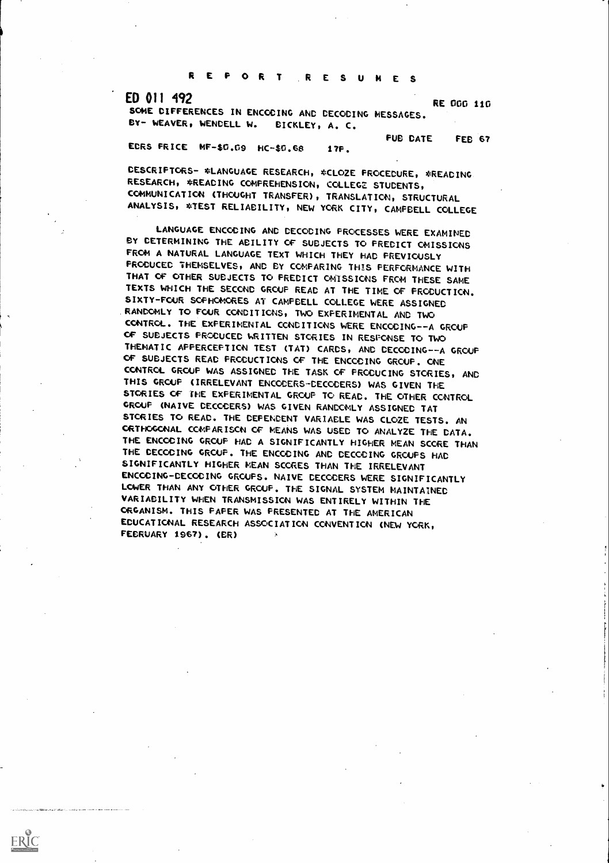REPORT RESUMES

ERIC

ED 011 492<br>
RE 000 110 SOME DIFFERENCES IN ENCODING AND DECODING MESSAGES. BY- WEAVER, WENDELL W. BICKLEY, A. C.

PUB DATE FEB 67

ECRS PRICE MF-\$0.09 HC-\$0.66 17F.

DESCRIPTORS- \*LANGUAGE RESEARCH, \*CLOZE PROCEDURE, \*READING. RESEARCH, \*READING COMPREHENSION, COLLEGE STUDENTS, COMMUNICATION (THOUGHT TRANSFER), TRANSLATION, STRUCTURAL ANALYSIS, \*TEST RELIABILITY, NEW YORK CITY, CAMPBELL COLLEGE

LANGUAGE ENCODING AND DECODING PROCESSES WERE EXAMINED BY DETERMINING THE ABILITY OF SUBJECTS TO PREDICT OMISSIONS FROM A NATURAL LANGUAGE TEXT WHICH THEY HAD PREVIOUSLY PRODUCED THEMSELVES, AND BY COMPARING THIS PERFORMANCE WITH THAT OF OTHER SUBJECTS TO PREDICT OMISSIONS FROM THESE SAME TEXTS WHICH THE SECOND GROUP READ AT THE TIME OF PRODUCTION. SIXTY-FOUR SOPHOMORES AT CAMPBELL COLLEGE WERE ASSIGNED .RANDOMLY TO FOUR CONDITIONS, TWO EXPERIMENTAL AND TWO CONTROL. THE EXPERIMENTAL CONDITIONS WERE ENCODING - -A GROUP OF SUBJECTS PRODUCED WRITTEN STORIES IN RESPONSE TO TWO THEMATIC APPERCEPTION TEST (TAT) CARDS, AND DECODING--A GROUP OF SUBJECTS READ PRODUCTIONS OF THE ENCODING GROUP. ONE CONTROL GROUP WAS ASSIGNED THE TASK OF PRODUCING STORIES, AND THIS GROUP (IRRELEVANT ENCODERS-DECODERS) WAS GIVEN THE STORIES OF IHE EXPERIMENTAL GROUP TO READ. THE OTHER CONTROL GROUP (NAIVE DECODERS) WAS GIVEN RANDOMLY ASSIGNED TAT STORIES TO READ. THE DEPENDENT VARIABLE WAS CLOZE TESTS. AN ORTHOGONAL COMPARISON OF MEANS WAS USED TO ANALYZE THE DATA. THE ENCODING GROUP HAD A SIGNIFICANTLY HIGHER MEAN SCORE THAN THE DECODING GROUP. THE ENCODING AND DECODING GROUPS HAD SIGNIFICANTLY HIGHER MEAN SCORES THAN THE IRRELEVANT ENCODING-DECODING GROUPS. NAIVE DECODERS WERE SIGNIFICANTLY LOWER THAN ANY OTHER GROUP. THE SIGNAL SYSTEM MAINTAINED VARIABILITY WHEN TRANSMISSION WAS ENTIRELY WITHIN THE ORGANISM. THIS PAPER WAS PRESENTED AT THE AMERICAN EDUCATIONAL RESEARCH ASSOCIATION CONVENTION (NEW YORK, FEBRUARY 1967). (ER)- 7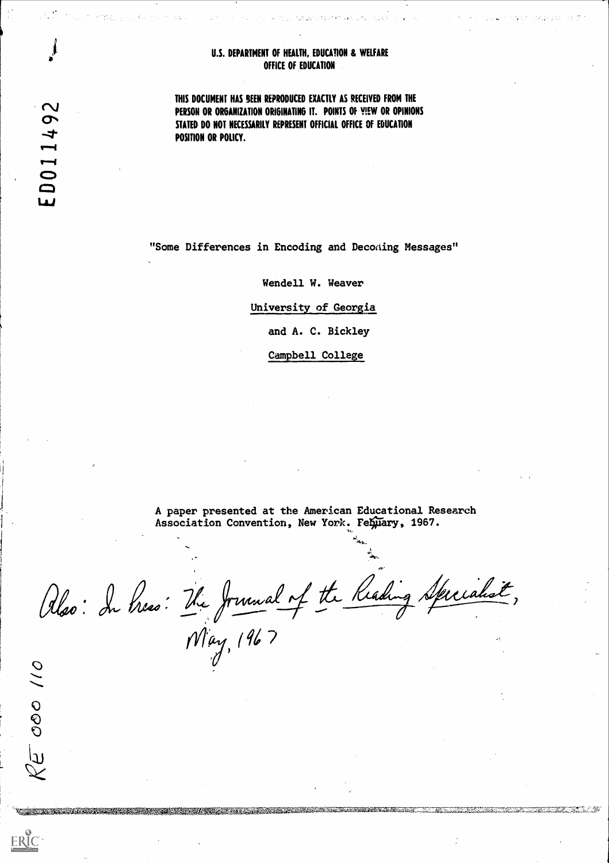#### U.S. DEPARTMENT OF HEALTH, EDUCATION & WELFARE OFFICE OF EDUCATION

.<br>Samara jihay 21 kilometra 1990 jihay 200

 $\mathbb{R}^{\frac{1}{2}}$  . The set of  $\mathbb{Z}^{2}$  and  $\mathbb{R}^{2}$  , the set of  $\mathbb{R}^{2}$  , we have the set

THIS DOCUMENT HAS SEEN REPRODUCED EXACTLY AS RECEIVED FROM THE PERSON OR ORGANIZATION ORIGINATING IT. POINTS OF VIEW OR OPINIONS STATED DO NOT NECESSARILY REPRESENT OFFICIAL OFFICE OF EDUCATION POSITION OR POLICY.

"Some Differences in Encoding and Decoding Messages"

Wendell W. Weaver

University of Georgia

and A. C. Bickley

Campbell College

A paper presented at the American Educational Research Association Convention, New York. Febuary, 1967.

**A Marine Marshall** 

Also: In Press: The Journal of the Reading Specialist, May, 1967

<u> 1 januari 1999 – 1999 – 1999 – 1999 – 1999 – 1999 – 1999 – 1999 – 1999 – 1999 – 1999 – 1999 – 1999 – 1999 – 19</u>

 $\mathbf{\Omega}$ 49 D011. w

 $\overline{O}$ 

 $\overline{O}$ 

 $\mathfrak{p}$ 

ERIC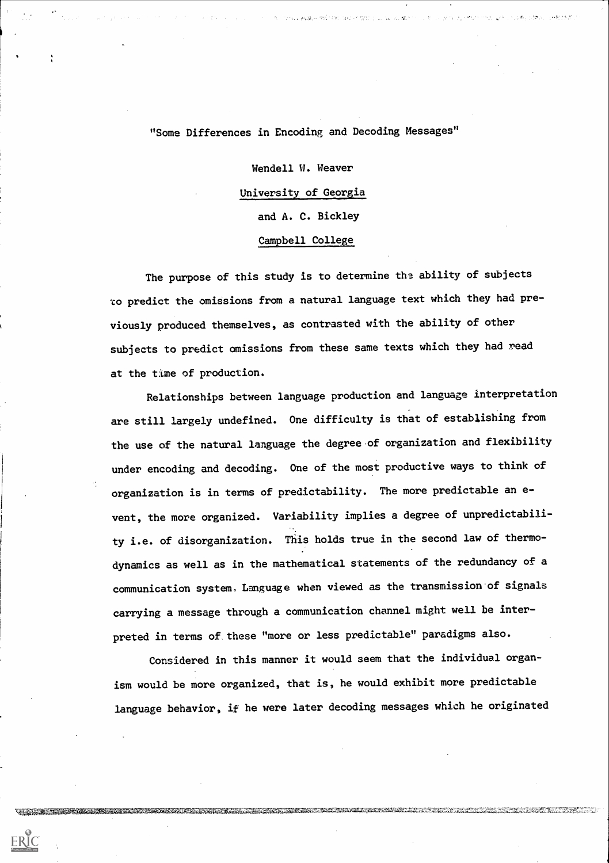"Some Differences in Encoding and Decoding Messages"

 $\Delta = \text{trig}(\mathbf{g}_0, \mathbf{g}_1, \mathbf{g}_2, \mathbf{g}_3) = \text{trig}(\mathbf{g}_0, \mathbf{g}_1, \mathbf{g}_2, \mathbf{g}_3, \mathbf{g}_3, \mathbf{g}_4, \mathbf{g}_5) = \text{trig}(\mathbf{g}_0, \mathbf{g}_1, \mathbf{g}_2, \mathbf{g}_3, \mathbf{g}_4, \mathbf{g}_5) = \text{trig}(\mathbf{g}_0, \mathbf{g}_1, \mathbf{g}_2, \mathbf{g}_3, \mathbf{g}_5) = \text{trig}(\mathbf{g}_0$ 

Wendell W. Weaver University of Georgia and A. C. Bickley Campbell College

The purpose of this study is to determine the ability of subjects 'co predict the omissions from a natural language text which they had previously produced themselves, as contrasted with the ability of other subjects to predict omissions from these same texts which they had read at the time of production.

Relationships between language production and language interpretation are still largely undefined. One difficulty is that of establishing from the use of the natural language the degree of organization and flexibility under encoding and decoding. One of the most productive ways to think of organization is in terms of predictability. The more predictable an event, the more organized. Variability implies a degree of unpredictability i.e. of disorganization. This holds true in the second law of thermodynamics as well as in the mathematical statements of the redundancy of a communication system. Language when viewed as the transmission of signals carrying a message through a communication channel might well be interpreted in terms of. these "more or less predictable" paradigms also.

Considered in this manner it would seem that the individual organism would be more organized, that is, he would exhibit more predictable language behavior, if he were later decoding messages which he originated

 $\sim 0.1$ 

 $\sim 20$ 

ERIC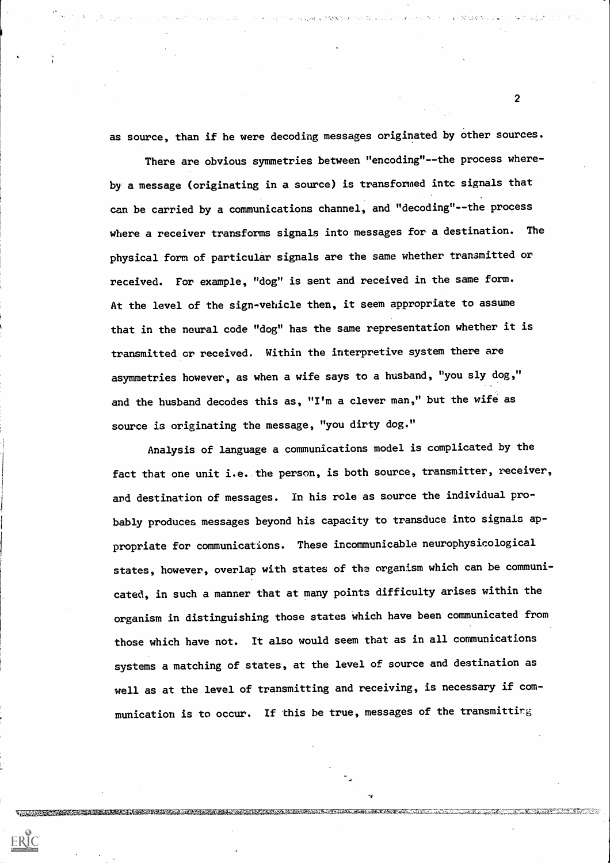as source, than if he were decoding messages originated by other sources.

A PARTICULAR DE COMPANYMENTO OPINIMADO A CONTINUE DE CARDIO DE CARDIO DE CARDIO DE CARDIO DE CARDIO DE CARDIO D

There are obvious symmetries between "encoding"--the process whereby a message (originating in a source) is transformed into signals that can be carried by a communications channel, and "decoding"--the process where a receiver transforms signals into messages for a destination. The physical form of particular signals are the same whether transmitted or received. For example, "dog" is sent and received in the same form. At the level of the sign-vehicle then, it seem appropriate to assume that in the neural code "dog" has the same representation whether it is transmitted or received. Within the interpretive system there are asymmetries however, as when a wife says to a husband, "you sly dog," and the husband decodes this as, "I'm a clever man," but the wife as source is originating the message, "you dirty dog."

Analysis of language a communications model is complicated by the fact that one unit i.e. the person, is both source, transmitter, receiver, and destination of messages. In his role as source the individual probably produces messages beyond his capacity to transduce into signals appropriate for communications. These incommunicable neurophysicological states, however, overlap with states of the organism which can be communicated, in such a manner that at many points difficulty arises within the organism in distinguishing those states which have been communicated from those which have not. It also would seem that as in all communications systems a matching of states, at the level of source and destination as well as at the level of transmitting and receiving, is necessary if communication is to occur. If this be true, messages of the transmitting

ERIC

 $\mathbf{2}$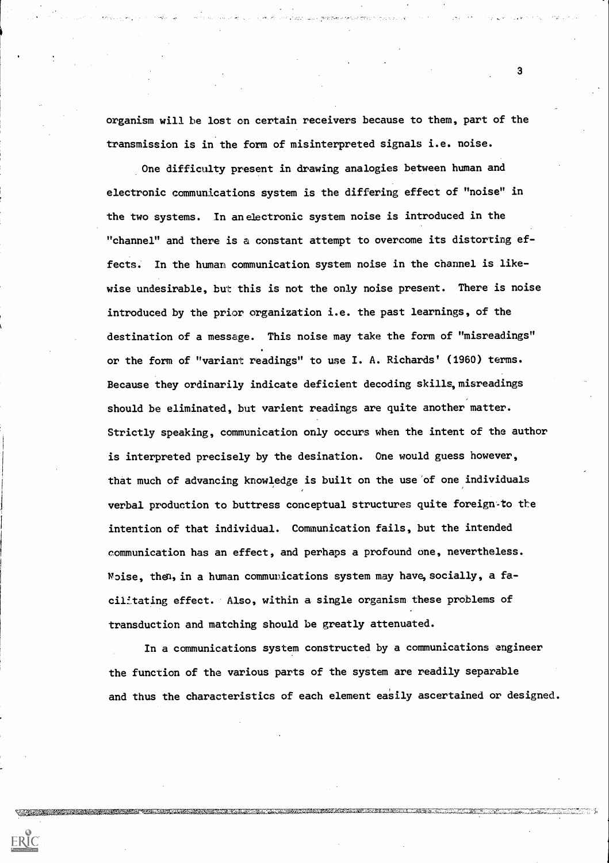organism will be lost on certain receivers because to them, part of the transmission is in the form of misinterpreted signals i.e. noise.

One difficulty present in drawing analogies between human and electronic communications system is the differing effect of "noise" in the two systems. in an electronic system noise is introduced in the "channel" and there is a constant attempt to overcome its distorting effects. In the human communication system noise in the channel is likewise undesirable, but this is not the only noise present. There is noise introduced by the prior organization i.e. the past learnings, of the destination of a message. This noise may take the form of "misreadings" or the form of "variant readings" to use I. A. Richards' (1960) terms. Because they ordinarily indicate deficient decoding skills, misreadings should be eliminated, but varient readings are quite another matter. Strictly speaking, communication only occurs when the intent of the author is interpreted precisely by the desination. One would guess however, that much of advancing knowledge is built on the use of one individuals verbal production to buttress conceptual structures quite foreign-to the intention of that individual. Communication fails, but the intended communication has an effect, and perhaps a profound one, nevertheless. Noise, then, in a human communications system may have, socially, a facilltating effect. Also, within a single organism these problems of transduction and matching should be greatly attenuated.

In a communications system constructed by a communications engineer the function of the various parts of the system are readily separable and thus the characteristics of each element easily ascertained or designed.

 $\sim 10^{11}$  km s  $^{-1}$ 

<u> 1989 - An Aonaich ann an Comhair ann an Comhair ann an Comhair ann an Comhair ann an Comhair ann an Comhair a</u>

THE RESIDENCE OF A PRODUCT CHANGE OF THE CONTRACTOR

ERIC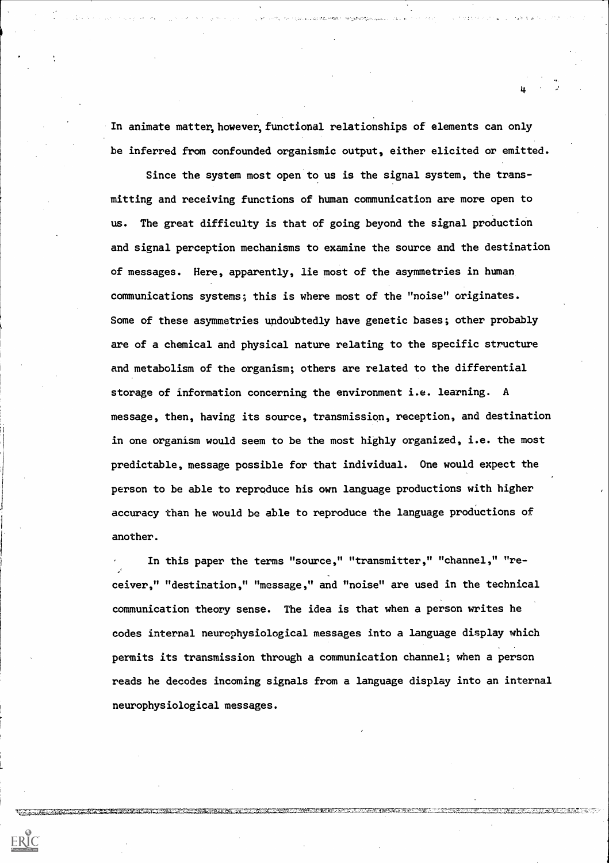In animate matter, however, functional relationships of elements can only be inferred from confounded organismic output, either elicited or emitted.

Since the system most open to us is the signal system, the transmitting and receiving functions of human communication are more open to us. The great difficulty is that of going beyond the signal production and signal perception mechanisms to examine the source and the destination of messages. Here, apparently, lie most of the asymmetries in human communications systems; this is where most of the "noise" originates. Some of these asymmetries undoubtedly have genetic bases; other probably are of a chemical and physical nature relating to the specific structure and metabolism of the organism; others are related to the differential storage of information concerning the environment i.e. learning. A message, then, having its source, transmission, reception, and destination in one organism would seem to be the most highly organized, i.e. the most predictable, message possible for that individual. One would expect the person to be able to reproduce his own language productions with higher accuracy than he would be able to reproduce the language productions of another.

In this paper the terms "source," "transmitter," "channel," "receiver," "destination," "message," and "noise" are used in the technical communication theory sense. The idea is that when a person writes he codes internal neurophysiological messages into a language display which permits its transmission through a communication channel; when a person reads he decodes incoming signals from a language display into an internal neurophysiological messages.

**TITLE AND LEADERS** 

ERIC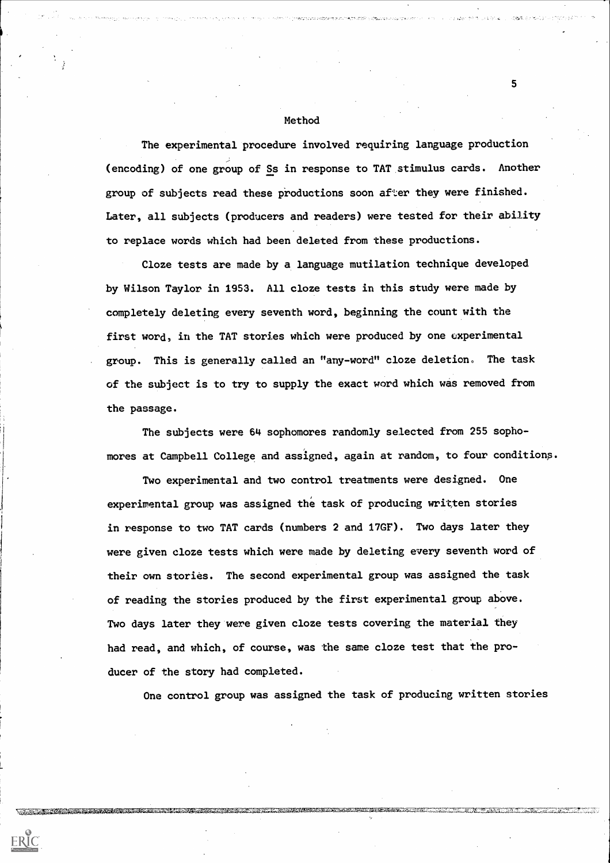#### Method

The experimental procedure involved requiring language production (encoding) of one group of Ss in response to TAT stimulus cards. Another group of subjects read these productions soon after they were finished. Later, all subjects (producers and readers) were tested for their ability to replace words which had been deleted from these productions.

Cloze tests are made by a language mutilation technique developed by Wilson Taylor in 1953. All cloze tests in this study were made by completely deleting every seventh word, beginning the count with the first word, in the TAT stories which were produced by one experimental group. This is generally called an "any-word" cloze deletion. The task of the subject is to try to supply the exact word which was removed from the passage.

The subjects were 64 sophomores randomly selected from 255 sophomores at Campbell College and assigned, again at random, to four conditions.

Two experimental and two control treatments were designed. One experimental group was assigned the task of producing written stories in response to two TAT cards (numbers 2 and 17GF). Two days later they were given cloze tests which were made by deleting every seventh word of their own stories. The second experimental group was assigned the task of reading the stories produced by, the first experimental group above. Two days later they were given cloze tests covering the material they had read, and which, of course, was the same cloze test that the producer of the story had completed.

One control group was assigned the task of producing written stories

 $\sim$ 

<u> 1983 - Andrew Stadt Grunder, amerikan besteman ing dikenali pada 2000 meter di sebagai pada sebagai di sebagai</u>

ERIC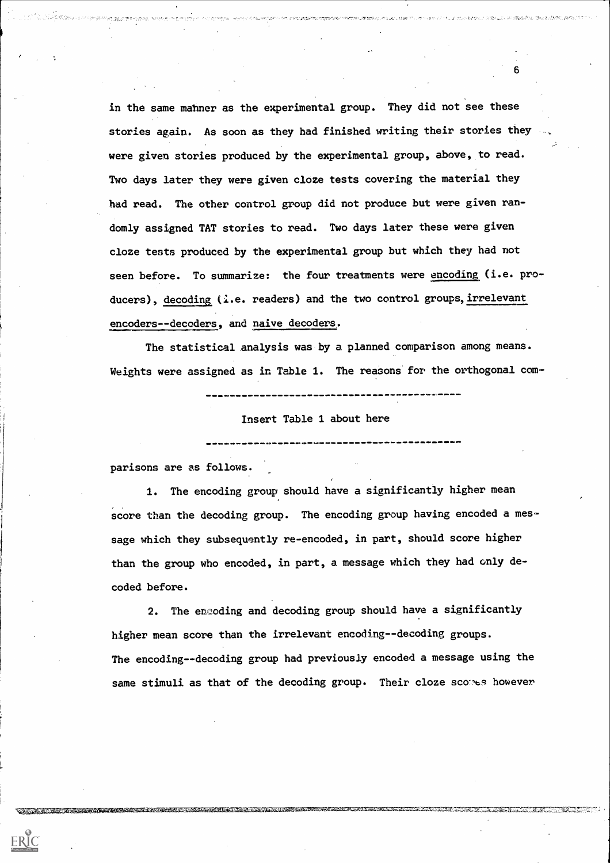in the same manner as the experimental group. They did not see these stories again. As soon as they had finished writing their stories they were given stories produced by the experimental group, above, to read. Two days later they were given cloze tests covering the material they had read. The other control group did not produce but were given randomly assigned TAT stories to read. Two days later these were given cloze tests produced by the experimental group but which they had not seen before. To summarize: the four treatments were encoding (i.e. producers), decoding (i.e. readers) and the two control groups, irrelevant encoders--decoders, and naive decoders.

The statistical analysis was by a planned comparison among means. Weights were assigned as in Table 1. The reasons for the orthogonal com-

Insert Table 1 about here

parisons are as follows.

ERIC

in Marie Media (San Barbara) anath<mark>r</mark>

1. The encoding group should have a significantly higher mean score than the decoding group. The encoding group having encoded a message which they subsequently re-encoded, in part, should score higher than the group who encoded, in part, a message which they had only decoded before.

2. The encoding and decoding group should have a significantly higher mean score than the irrelevant encoding--decoding groups. The encoding--decoding group had previously encoded a message using the same stimuli as that of the decoding group. Their cloze scomes however

**TERM AND A RELEASE AND MORE IN THE RELEASE OF A RELEASE AND CONTRACT OF A RELEASE AND LOCAL CONTRACT OF A RELEASE OF A RELEASE OF A RELEASE OF A RELEASE OF A RELEASE OF A RELEASE OF A RELEASE OF A RELEASE OF A RELEASE OF**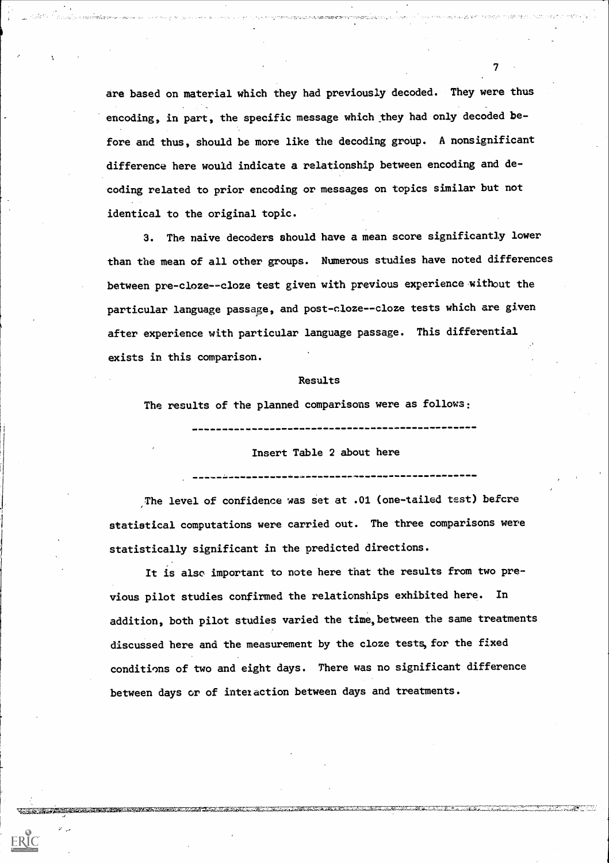are based on material which they had previously decoded. They were thus encoding, in part, the specific message which they had only decoded before and thus, should be more like the decoding group. A nonsignificant difference here would indicate a relationship between encoding and decoding related to prior encoding or messages on topics similar but not identical to the original topic.

ดูการสองแดงชุดพระอ.ศ.จ. <del>กล่อ.สมมพศ ต</del>กษรจางจุด<u>-สหวันต์ & 200 ร</u>าว

 $T_{\rm c}$  and  $T_{\rm c}$ 

HOW STREAMS AN AVEC IN DISPLACEMENT WITH A

3. The naive decoders should have a mean score significantly lower than the mean of all other groups. Numerous studies have noted differences between pre-cloze--cloze test given with previous experience without the particular language passage, and post-cloze--cloze tests which are given after experience with particular language passage. This differential exists in this comparison.

#### Results

The results of the planned comparisons were as follows:

#### Insert Table 2 about here

---------------

The level of confidence was set at .01 (one-tailed test) before statistical computations were carried out. The three comparisons were statistically significant in the predicted directions.

It is also important to note here that the results from two previous pilot studies confirmed the relationships exhibited here. In addition, both pilot studies varied the time, between the same treatments discussed here and the measurement by the cloze tests, for the fixed conditions of two and eight days. There was no significant difference between days or of interaction between days and treatments.

<u> Alban Alban Alban a</u>

TERRET ET ALTERNATIVE EN LA PRODUCTION DE L'ANCHE DE L'ANCHE L'ANCHE L'ANCHE L'ANCHE L'ANCHE L'ANCHE L'ANCHE L

 $\mathcal{P}=\mathcal{P}$ 

ERIC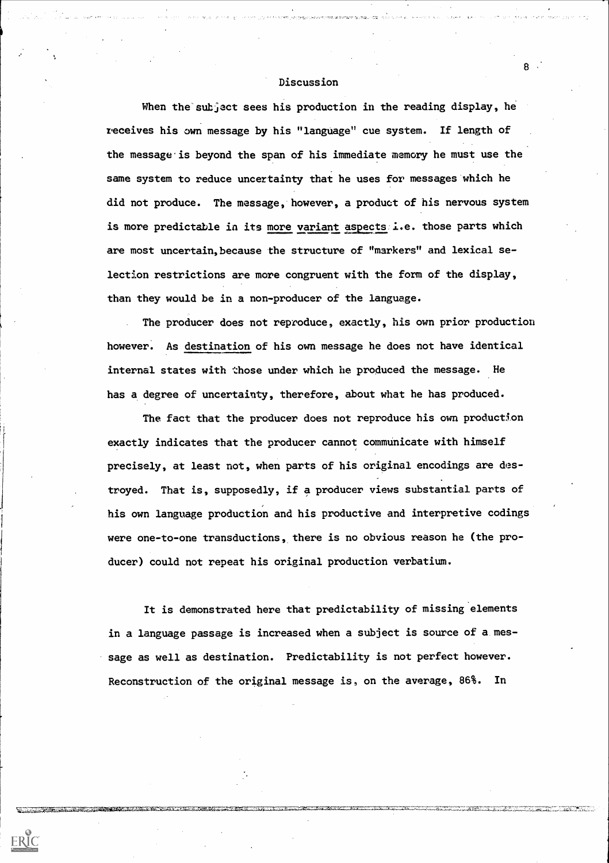### Discussion

When the subject sees his production in the reading display, he receives his own message by his "language" cue system. If length of the message is beyond the span of his immediate memory he must use the same system to reduce uncertainty that he uses for messages which he did not produce. The message, however, a product of his nervous system is more predictable in its more variant aspects i.e. those parts which are most uncertain,because the structure of "markers" and lexical selection restrictions are more congruent with the form of the display, than they would be in a non-producer of the language.

The producer does not reproduce, exactly, his own prior production however. As destination of his own message he does not have identical internal states with those under which he produced the message. He has a degree of uncertainty, therefore, about what he has produced.

The fact that the producer does not reproduce his own production exactly indicates that the producer cannot communicate with himself precisely, at least not, when parts of his original encodings are destroyed. That is, supposedly, if a producer views substantial parts of his own language production and his productive and interpretive codings were one-to-one transductions, there is no obvious reason he (the producer) could not repeat his original production verbatium.

It is demonstrated here that predictability of missing elements in a language passage is increased when a subject is source of a message as well as destination. Predictability is not perfect however. Reconstruction of the original message is, on the average, 86%. In

**The Commission of the Commission of the Commission of the Commission of the Commission of the Commission of the** 

ERIC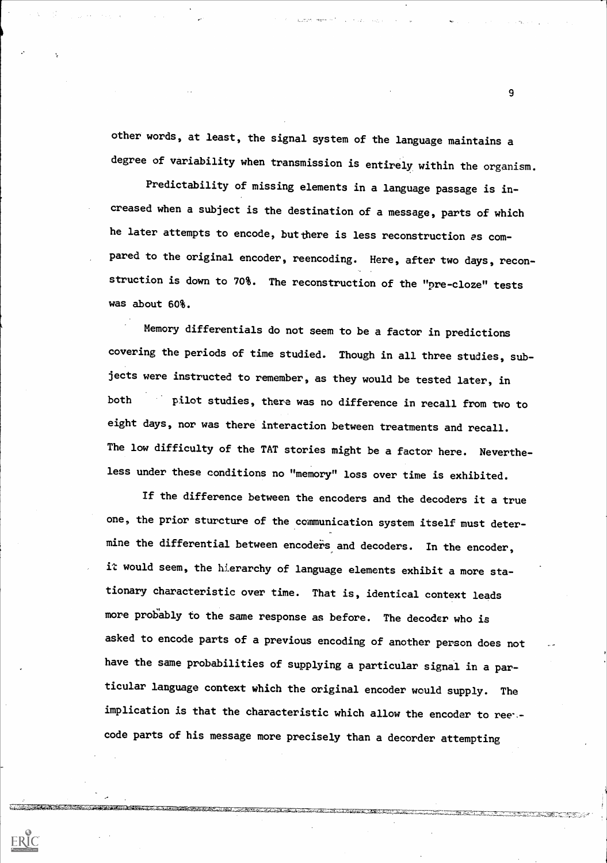other words, at least, the signal system of the language maintains a degree of variability when transmission is entirely within the organism.

Predictability of missing elements in a language passage is increased when a subject is the destination of a message, parts of which he later attempts to encode, but there is less reconstruction as compared to the original encoder, reencoding. Here, after two days, reconstruction is down to 70%. The reconstruction of the "pre-cloze" tests was about 60%.

Memory differentials do not seem to be a factor in predictions covering the periods of time studied. Though in all three studies, subjects were instructed to remember, as they would be tested later, in both pilot studies, there was no difference in recall from two to eight days, nor was there interaction between treatments and recall. The low difficulty of the TAT stories might be a factor here. Nevertheless under these conditions no "memory" loss over time is exhibited.

If the difference between the encoders and the decoders it a true one, the prior sturcture of the communication system itself must determine the differential between encoders and decoders. In the encoder, it would seem, the hierarchy of language elements exhibit a more stationary characteristic over time. That is, identical context leads more probably to the same response as before. The decoder who is asked to encode parts of a previous encoding of another person does not have the same probabilities of supplying a particular signal in a particular language context which the original encoder would supply. The implication is that the characteristic which allow the encoder to ree code parts of his message more precisely than a decorder attempting

ERIC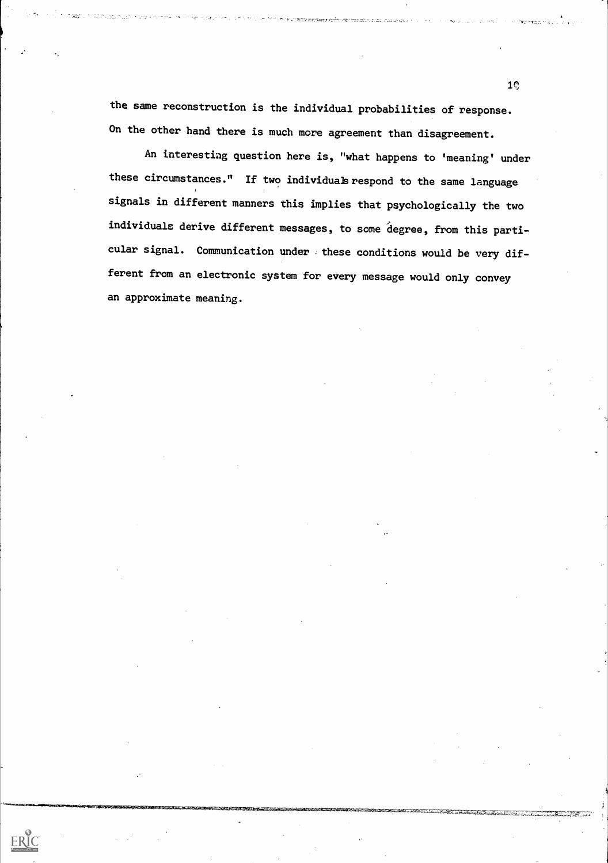the same reconstruction is the individual probabilities of response. On the other hand there is much more agreement than disagreement.

An interesting question here is, "what happens to 'meaning' under these circumstances." If two individuals respond to the same language signals in different manners this implies that psychologically the two individuals derive different messages, to some degree, from this particular signal. Communication under . these conditions would be very different from an electronic system for every message would only convey an approximate meaning.

ERIC

 $1<sub>o</sub>$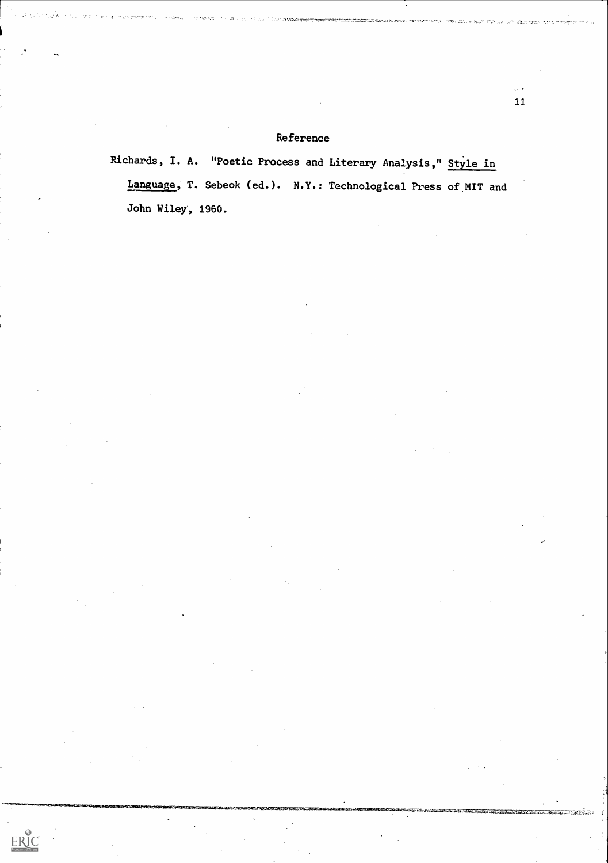## Reference

 $ERIC$ 

Richards, I. A. "Poetic Process and Literary Analysis," Style in Language, T. Sebeok (ed.). N.Y.: Technological Press of MIT and John Wiley, 1960.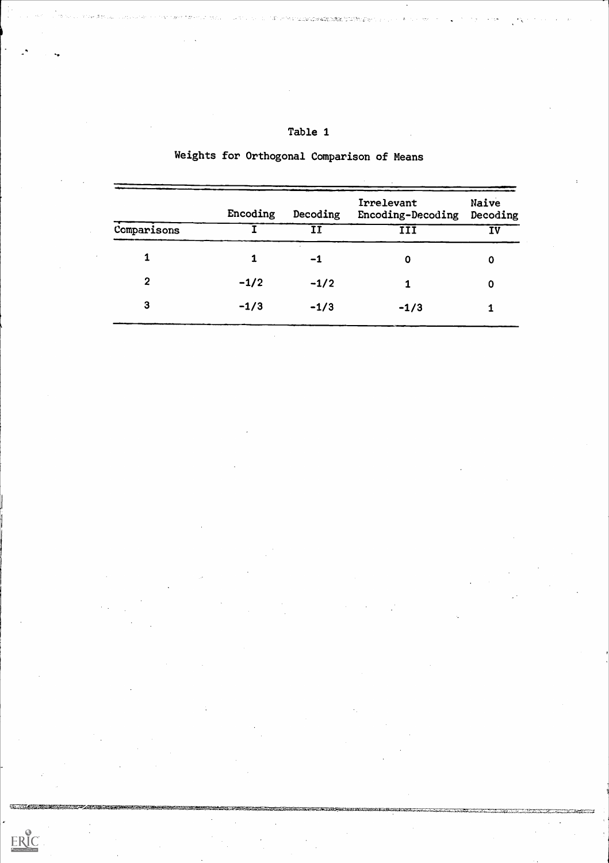| Comparisons    | Encoding | Decoding | Irrelevant<br>Encoding-Decoding | Naive<br>Decoding<br>IV |  |
|----------------|----------|----------|---------------------------------|-------------------------|--|
|                |          |          | III                             |                         |  |
| 1              |          | $-1$     | 0                               | 0                       |  |
| $\overline{2}$ | $-1/2$   | $-1/2$   | 1                               | $\mathbf 0$             |  |
| 3              | $-1/3$   | $-1/3$   | $-1/3$                          |                         |  |

 $\sim 10$ 

 $\mathcal{L}(\mathcal{A})$ 

 $\sim$   $\sim$ 

 $\bar{\mathcal{A}}$ 

 $\sim$ 

 $\mathcal{F}_{\mathcal{G}}$ 

 $\bar{\beta}$ 

 $\sim 1$ 

 $\sim 40\,$  km  $^{-1}$ 

 $\mathcal{A}^{\mathcal{A}}_{\mathcal{A}}$  ,  $\mathcal{A}^{\mathcal{A}}_{\mathcal{A}}$ 

 $\sim 10^6$ 

a tha bhun tha an chuidh an chuidh an chuidh an chuidh an chuidh an chuidh an chuidh an chuidh an chuidh an chuidh

 $\langle \cdot, \cdot \rangle$ 

 $\sim$ 

 $\label{eq:2.1} \frac{1}{\sqrt{2}}\sum_{i=1}^n\frac{1}{\sqrt{2}}\sum_{i=1}^n\frac{1}{\sqrt{2}}\sum_{i=1}^n\frac{1}{\sqrt{2}}\sum_{i=1}^n\frac{1}{\sqrt{2}}\sum_{i=1}^n\frac{1}{\sqrt{2}}\sum_{i=1}^n\frac{1}{\sqrt{2}}\sum_{i=1}^n\frac{1}{\sqrt{2}}\sum_{i=1}^n\frac{1}{\sqrt{2}}\sum_{i=1}^n\frac{1}{\sqrt{2}}\sum_{i=1}^n\frac{1}{\sqrt{2}}\sum_{i=1}^n\frac$ 

 $\sim$ 

 $\label{eq:2.1} \frac{1}{\sqrt{2}}\int_{\mathbb{R}^3} \frac{1}{\sqrt{2}}\left(\frac{1}{\sqrt{2}}\right)^2\left(\frac{1}{\sqrt{2}}\right)^2\left(\frac{1}{\sqrt{2}}\right)^2\left(\frac{1}{\sqrt{2}}\right)^2.$ 

<u> 1999 - James Andrews Barnstein, margaret and an group and a strong and a strong and a strong and a strong and </u>

 $\mathcal{A}$ 

 $\bar{\mathbf{r}}$ 

 $\ddot{\phantom{a}}$ 

 $\sim$ 

 $\sim$ 

 $\bar{\alpha}$ 

 $\sim$   $\sim$ 

 $\sim$ 

# Weights for Orthogonal Comparison of Means

Table 1

ings in 2

.<br>ಇತ್ತಾರ ಬಗ್ಗೆ

 $ERIC$ 

 $\sim$   $\sim$ 

 $\sim$   $\sigma$ 

 $\varphi'$